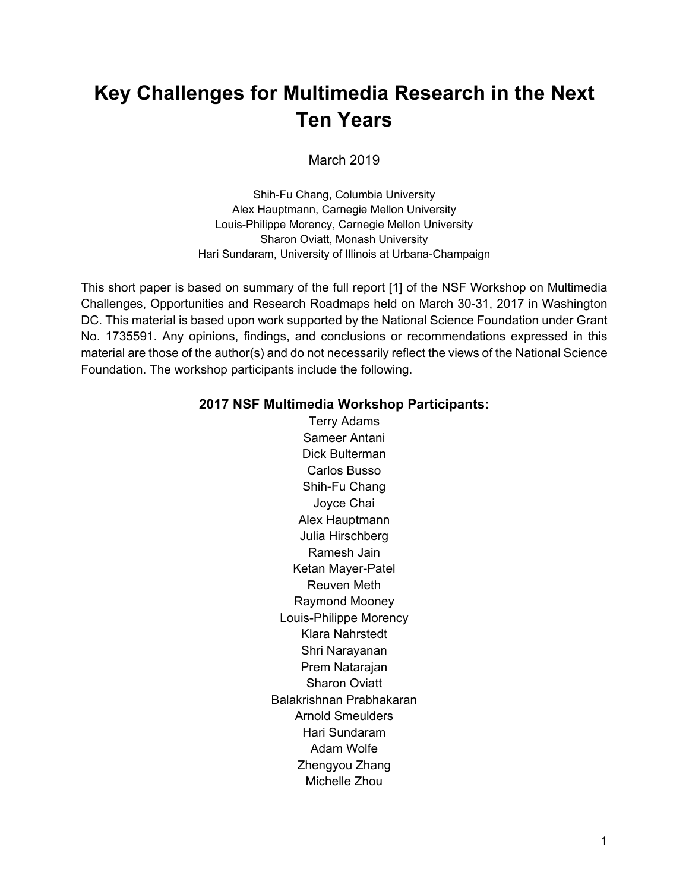### **Key Challenges for Multimedia Research in the Next Ten Years**

March 2019

Shih-Fu Chang, Columbia University Alex Hauptmann, Carnegie Mellon University Louis-Philippe Morency, Carnegie Mellon University Sharon Oviatt, Monash University Hari Sundaram, University of Illinois at Urbana-Champaign

This short paper is based on summary of the full report [1] of the NSF Workshop on Multimedia Challenges, Opportunities and Research Roadmaps held on March 30-31, 2017 in Washington DC. This material is based upon work supported by the National Science Foundation under Grant No. 1735591. Any opinions, findings, and conclusions or recommendations expressed in this material are those of the author(s) and do not necessarily reflect the views of the National Science Foundation. The workshop participants include the following.

#### **2017 NSF Multimedia Workshop Participants:**

Terry Adams Sameer Antani Dick Bulterman Carlos Busso Shih-Fu Chang Joyce Chai Alex Hauptmann Julia Hirschberg Ramesh Jain Ketan Mayer-Patel Reuven Meth Raymond Mooney Louis-Philippe Morency Klara Nahrstedt Shri Narayanan Prem Natarajan Sharon Oviatt Balakrishnan Prabhakaran Arnold Smeulders Hari Sundaram Adam Wolfe Zhengyou Zhang Michelle Zhou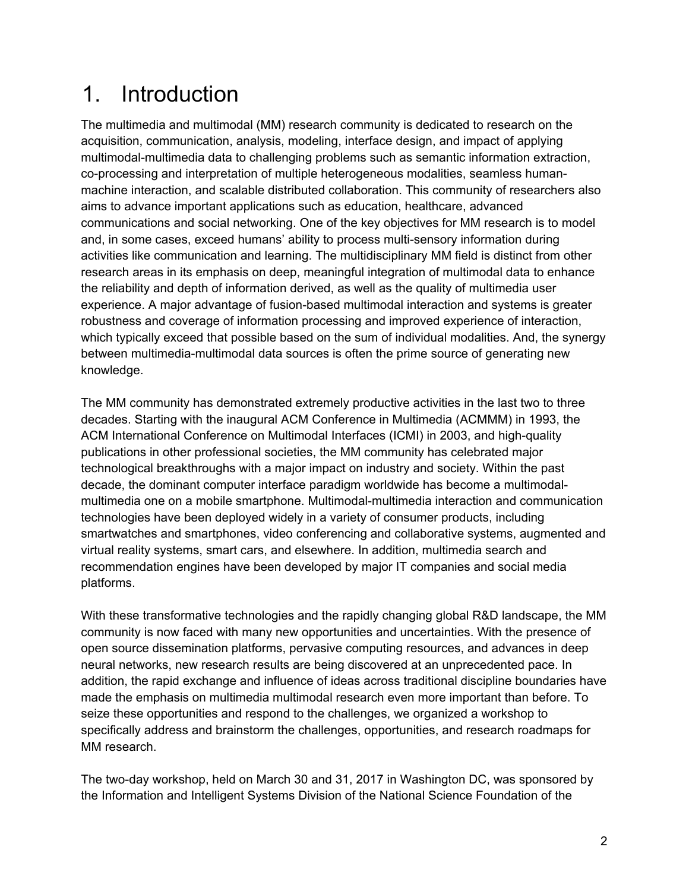### 1. Introduction

The multimedia and multimodal (MM) research community is dedicated to research on the acquisition, communication, analysis, modeling, interface design, and impact of applying multimodal-multimedia data to challenging problems such as semantic information extraction, co-processing and interpretation of multiple heterogeneous modalities, seamless humanmachine interaction, and scalable distributed collaboration. This community of researchers also aims to advance important applications such as education, healthcare, advanced communications and social networking. One of the key objectives for MM research is to model and, in some cases, exceed humans' ability to process multi-sensory information during activities like communication and learning. The multidisciplinary MM field is distinct from other research areas in its emphasis on deep, meaningful integration of multimodal data to enhance the reliability and depth of information derived, as well as the quality of multimedia user experience. A major advantage of fusion-based multimodal interaction and systems is greater robustness and coverage of information processing and improved experience of interaction, which typically exceed that possible based on the sum of individual modalities. And, the synergy between multimedia-multimodal data sources is often the prime source of generating new knowledge.

The MM community has demonstrated extremely productive activities in the last two to three decades. Starting with the inaugural ACM Conference in Multimedia (ACMMM) in 1993, the ACM International Conference on Multimodal Interfaces (ICMI) in 2003, and high-quality publications in other professional societies, the MM community has celebrated major technological breakthroughs with a major impact on industry and society. Within the past decade, the dominant computer interface paradigm worldwide has become a multimodalmultimedia one on a mobile smartphone. Multimodal-multimedia interaction and communication technologies have been deployed widely in a variety of consumer products, including smartwatches and smartphones, video conferencing and collaborative systems, augmented and virtual reality systems, smart cars, and elsewhere. In addition, multimedia search and recommendation engines have been developed by major IT companies and social media platforms.

With these transformative technologies and the rapidly changing global R&D landscape, the MM community is now faced with many new opportunities and uncertainties. With the presence of open source dissemination platforms, pervasive computing resources, and advances in deep neural networks, new research results are being discovered at an unprecedented pace. In addition, the rapid exchange and influence of ideas across traditional discipline boundaries have made the emphasis on multimedia multimodal research even more important than before. To seize these opportunities and respond to the challenges, we organized a workshop to specifically address and brainstorm the challenges, opportunities, and research roadmaps for MM research.

The two-day workshop, held on March 30 and 31, 2017 in Washington DC, was sponsored by the Information and Intelligent Systems Division of the National Science Foundation of the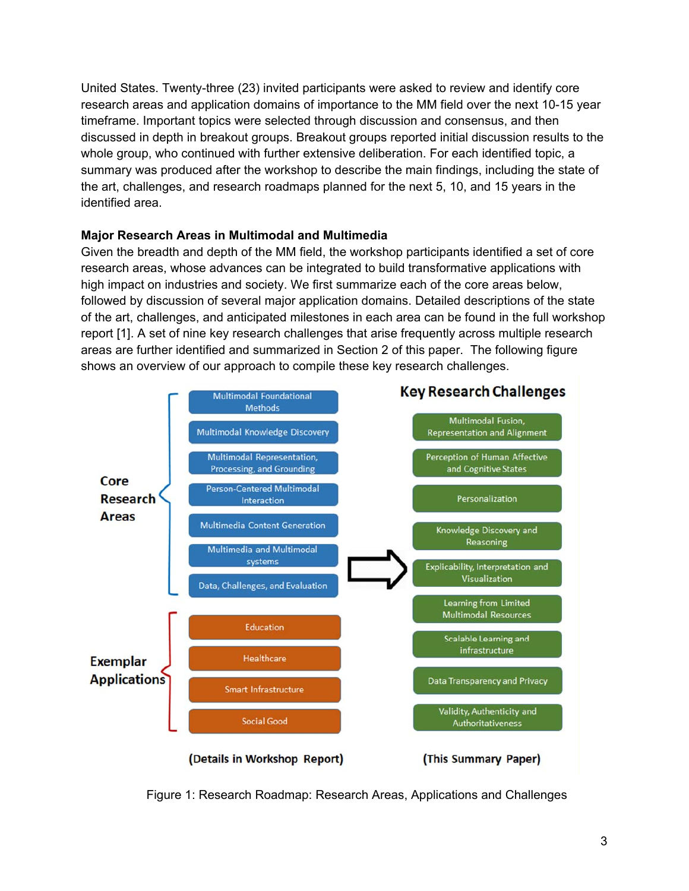United States. Twenty-three (23) invited participants were asked to review and identify core research areas and application domains of importance to the MM field over the next 10-15 year timeframe. Important topics were selected through discussion and consensus, and then discussed in depth in breakout groups. Breakout groups reported initial discussion results to the whole group, who continued with further extensive deliberation. For each identified topic, a summary was produced after the workshop to describe the main findings, including the state of the art, challenges, and research roadmaps planned for the next 5, 10, and 15 years in the identified area.

#### **Major Research Areas in Multimodal and Multimedia**

Given the breadth and depth of the MM field, the workshop participants identified a set of core research areas, whose advances can be integrated to build transformative applications with high impact on industries and society. We first summarize each of the core areas below, followed by discussion of several major application domains. Detailed descriptions of the state of the art, challenges, and anticipated milestones in each area can be found in the full workshop report [1]. A set of nine key research challenges that arise frequently across multiple research areas are further identified and summarized in Section 2 of this paper. The following figure shows an overview of our approach to compile these key research challenges.



Figure 1: Research Roadmap: Research Areas, Applications and Challenges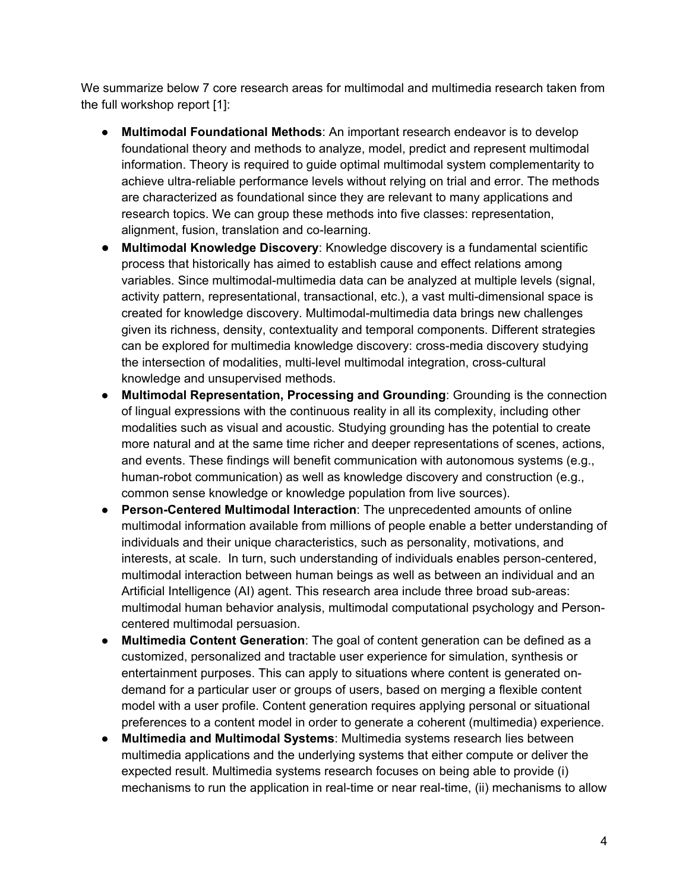We summarize below 7 core research areas for multimodal and multimedia research taken from the full workshop report [1]:

- **Multimodal Foundational Methods**: An important research endeavor is to develop foundational theory and methods to analyze, model, predict and represent multimodal information. Theory is required to guide optimal multimodal system complementarity to achieve ultra-reliable performance levels without relying on trial and error. The methods are characterized as foundational since they are relevant to many applications and research topics. We can group these methods into five classes: representation, alignment, fusion, translation and co-learning.
- **Multimodal Knowledge Discovery**: Knowledge discovery is a fundamental scientific process that historically has aimed to establish cause and effect relations among variables. Since multimodal-multimedia data can be analyzed at multiple levels (signal, activity pattern, representational, transactional, etc.), a vast multi-dimensional space is created for knowledge discovery. Multimodal-multimedia data brings new challenges given its richness, density, contextuality and temporal components. Different strategies can be explored for multimedia knowledge discovery: cross-media discovery studying the intersection of modalities, multi-level multimodal integration, cross-cultural knowledge and unsupervised methods.
- **Multimodal Representation, Processing and Grounding**: Grounding is the connection of lingual expressions with the continuous reality in all its complexity, including other modalities such as visual and acoustic. Studying grounding has the potential to create more natural and at the same time richer and deeper representations of scenes, actions, and events. These findings will benefit communication with autonomous systems (e.g., human-robot communication) as well as knowledge discovery and construction (e.g., common sense knowledge or knowledge population from live sources).
- **Person-Centered Multimodal Interaction**: The unprecedented amounts of online multimodal information available from millions of people enable a better understanding of individuals and their unique characteristics, such as personality, motivations, and interests, at scale. In turn, such understanding of individuals enables person-centered, multimodal interaction between human beings as well as between an individual and an Artificial Intelligence (AI) agent. This research area include three broad sub-areas: multimodal human behavior analysis, multimodal computational psychology and Personcentered multimodal persuasion.
- **Multimedia Content Generation**: The goal of content generation can be defined as a customized, personalized and tractable user experience for simulation, synthesis or entertainment purposes. This can apply to situations where content is generated ondemand for a particular user or groups of users, based on merging a flexible content model with a user profile. Content generation requires applying personal or situational preferences to a content model in order to generate a coherent (multimedia) experience.
- **Multimedia and Multimodal Systems**: Multimedia systems research lies between multimedia applications and the underlying systems that either compute or deliver the expected result. Multimedia systems research focuses on being able to provide (i) mechanisms to run the application in real-time or near real-time, (ii) mechanisms to allow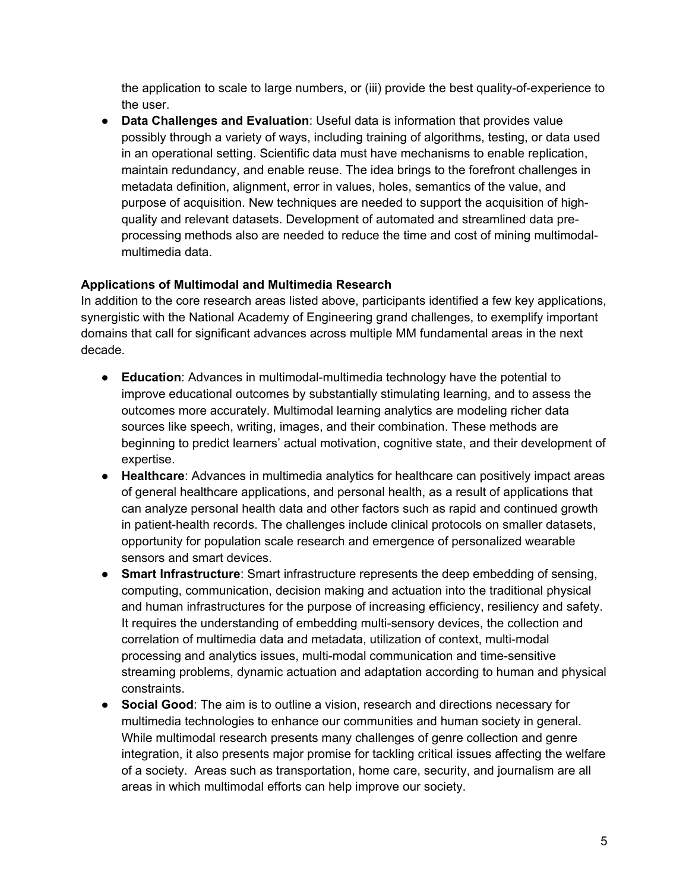the application to scale to large numbers, or (iii) provide the best quality-of-experience to the user.

● **Data Challenges and Evaluation**: Useful data is information that provides value possibly through a variety of ways, including training of algorithms, testing, or data used in an operational setting. Scientific data must have mechanisms to enable replication, maintain redundancy, and enable reuse. The idea brings to the forefront challenges in metadata definition, alignment, error in values, holes, semantics of the value, and purpose of acquisition. New techniques are needed to support the acquisition of highquality and relevant datasets. Development of automated and streamlined data preprocessing methods also are needed to reduce the time and cost of mining multimodalmultimedia data.

#### **Applications of Multimodal and Multimedia Research**

In addition to the core research areas listed above, participants identified a few key applications, synergistic with the National Academy of Engineering grand challenges, to exemplify important domains that call for significant advances across multiple MM fundamental areas in the next decade.

- **Education**: Advances in multimodal-multimedia technology have the potential to improve educational outcomes by substantially stimulating learning, and to assess the outcomes more accurately. Multimodal learning analytics are modeling richer data sources like speech, writing, images, and their combination. These methods are beginning to predict learners' actual motivation, cognitive state, and their development of expertise.
- **Healthcare**: Advances in multimedia analytics for healthcare can positively impact areas of general healthcare applications, and personal health, as a result of applications that can analyze personal health data and other factors such as rapid and continued growth in patient-health records. The challenges include clinical protocols on smaller datasets, opportunity for population scale research and emergence of personalized wearable sensors and smart devices.
- **Smart Infrastructure**: Smart infrastructure represents the deep embedding of sensing, computing, communication, decision making and actuation into the traditional physical and human infrastructures for the purpose of increasing efficiency, resiliency and safety. It requires the understanding of embedding multi-sensory devices, the collection and correlation of multimedia data and metadata, utilization of context, multi-modal processing and analytics issues, multi-modal communication and time-sensitive streaming problems, dynamic actuation and adaptation according to human and physical constraints.
- **Social Good**: The aim is to outline a vision, research and directions necessary for multimedia technologies to enhance our communities and human society in general. While multimodal research presents many challenges of genre collection and genre integration, it also presents major promise for tackling critical issues affecting the welfare of a society. Areas such as transportation, home care, security, and journalism are all areas in which multimodal efforts can help improve our society.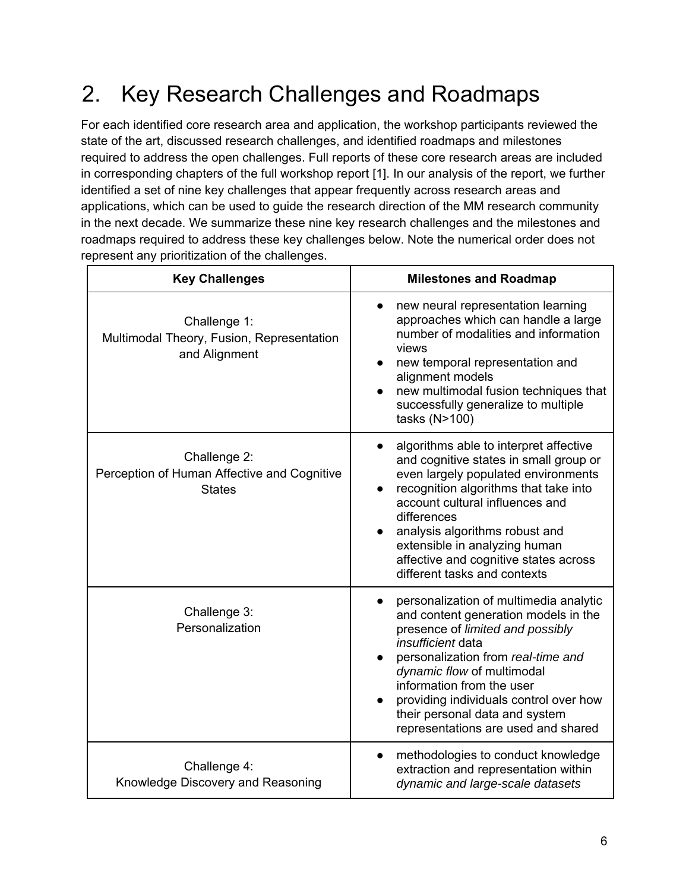# 2. Key Research Challenges and Roadmaps

For each identified core research area and application, the workshop participants reviewed the state of the art, discussed research challenges, and identified roadmaps and milestones required to address the open challenges. Full reports of these core research areas are included in corresponding chapters of the full workshop report [1]. In our analysis of the report, we further identified a set of nine key challenges that appear frequently across research areas and applications, which can be used to guide the research direction of the MM research community in the next decade. We summarize these nine key research challenges and the milestones and roadmaps required to address these key challenges below. Note the numerical order does not represent any prioritization of the challenges.

| <b>Key Challenges</b>                                                        | <b>Milestones and Roadmap</b>                                                                                                                                                                                                                                                                                                                                      |
|------------------------------------------------------------------------------|--------------------------------------------------------------------------------------------------------------------------------------------------------------------------------------------------------------------------------------------------------------------------------------------------------------------------------------------------------------------|
| Challenge 1:<br>Multimodal Theory, Fusion, Representation<br>and Alignment   | new neural representation learning<br>approaches which can handle a large<br>number of modalities and information<br>views<br>new temporal representation and<br>alignment models<br>new multimodal fusion techniques that<br>successfully generalize to multiple<br>tasks (N>100)                                                                                 |
| Challenge 2:<br>Perception of Human Affective and Cognitive<br><b>States</b> | algorithms able to interpret affective<br>and cognitive states in small group or<br>even largely populated environments<br>recognition algorithms that take into<br>account cultural influences and<br>differences<br>analysis algorithms robust and<br>extensible in analyzing human<br>affective and cognitive states across<br>different tasks and contexts     |
| Challenge 3:<br>Personalization                                              | personalization of multimedia analytic<br>and content generation models in the<br>presence of limited and possibly<br><i>insufficient</i> data<br>personalization from real-time and<br>dynamic flow of multimodal<br>information from the user<br>providing individuals control over how<br>their personal data and system<br>representations are used and shared |
| Challenge 4:<br>Knowledge Discovery and Reasoning                            | methodologies to conduct knowledge<br>$\bullet$<br>extraction and representation within<br>dynamic and large-scale datasets                                                                                                                                                                                                                                        |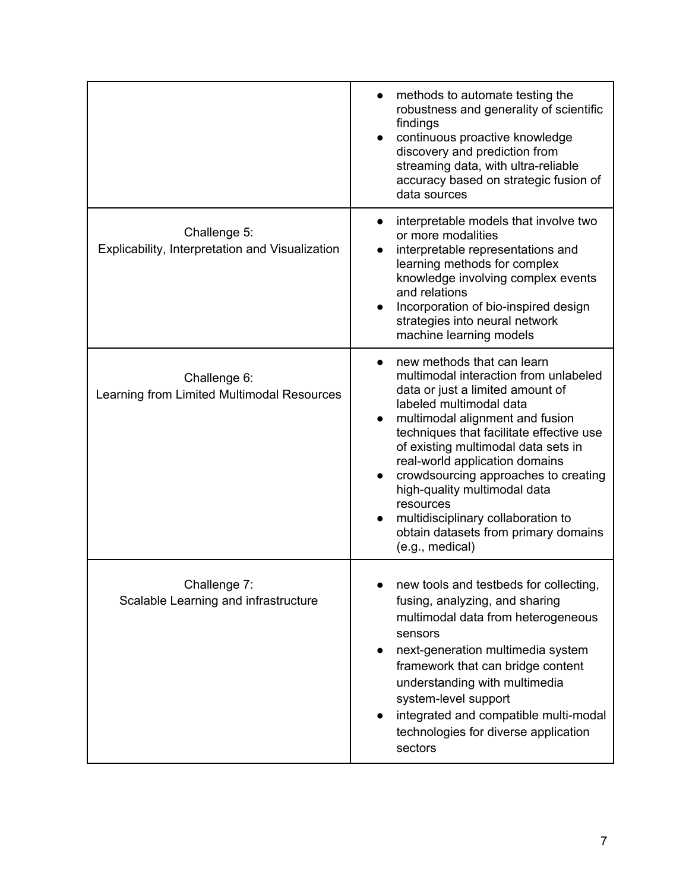|                                                                 | methods to automate testing the<br>$\bullet$<br>robustness and generality of scientific<br>findings<br>continuous proactive knowledge<br>discovery and prediction from<br>streaming data, with ultra-reliable<br>accuracy based on strategic fusion of<br>data sources                                                                                                                                                                                                                        |
|-----------------------------------------------------------------|-----------------------------------------------------------------------------------------------------------------------------------------------------------------------------------------------------------------------------------------------------------------------------------------------------------------------------------------------------------------------------------------------------------------------------------------------------------------------------------------------|
| Challenge 5:<br>Explicability, Interpretation and Visualization | interpretable models that involve two<br>$\bullet$<br>or more modalities<br>interpretable representations and<br>learning methods for complex<br>knowledge involving complex events<br>and relations<br>Incorporation of bio-inspired design<br>strategies into neural network<br>machine learning models                                                                                                                                                                                     |
| Challenge 6:<br>Learning from Limited Multimodal Resources      | new methods that can learn<br>multimodal interaction from unlabeled<br>data or just a limited amount of<br>labeled multimodal data<br>multimodal alignment and fusion<br>$\bullet$<br>techniques that facilitate effective use<br>of existing multimodal data sets in<br>real-world application domains<br>crowdsourcing approaches to creating<br>high-quality multimodal data<br>resources<br>multidisciplinary collaboration to<br>obtain datasets from primary domains<br>(e.g., medical) |
| Challenge 7:<br>Scalable Learning and infrastructure            | new tools and testbeds for collecting,<br>fusing, analyzing, and sharing<br>multimodal data from heterogeneous<br>sensors<br>next-generation multimedia system<br>$\bullet$<br>framework that can bridge content<br>understanding with multimedia<br>system-level support<br>integrated and compatible multi-modal<br>technologies for diverse application<br>sectors                                                                                                                         |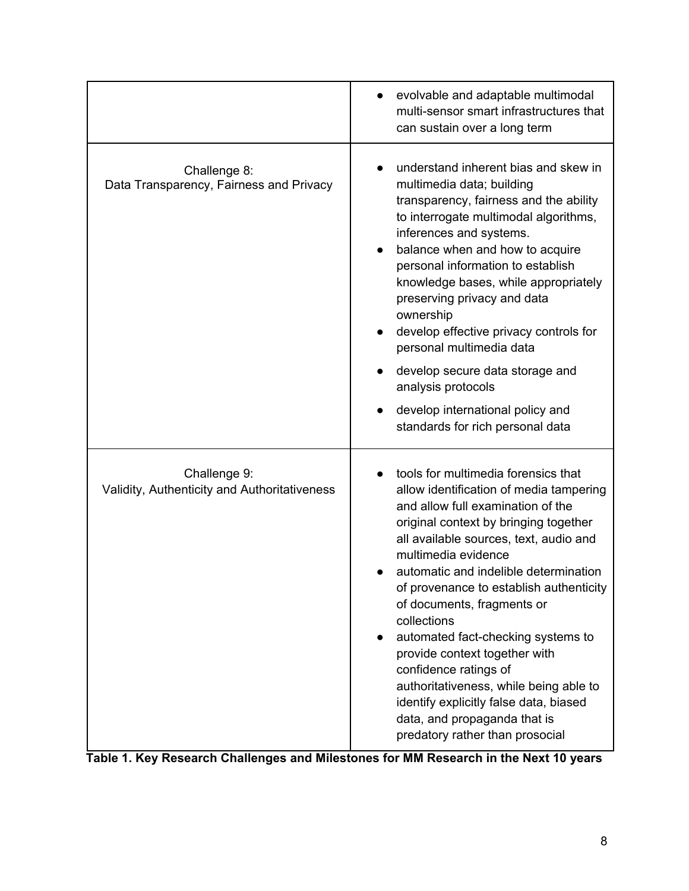|                                                              | evolvable and adaptable multimodal<br>multi-sensor smart infrastructures that<br>can sustain over a long term                                                                                                                                                                                                                                                                                                                                                                                                                                                                                                         |
|--------------------------------------------------------------|-----------------------------------------------------------------------------------------------------------------------------------------------------------------------------------------------------------------------------------------------------------------------------------------------------------------------------------------------------------------------------------------------------------------------------------------------------------------------------------------------------------------------------------------------------------------------------------------------------------------------|
| Challenge 8:<br>Data Transparency, Fairness and Privacy      | understand inherent bias and skew in<br>multimedia data; building<br>transparency, fairness and the ability<br>to interrogate multimodal algorithms,<br>inferences and systems.<br>balance when and how to acquire<br>personal information to establish<br>knowledge bases, while appropriately<br>preserving privacy and data<br>ownership<br>develop effective privacy controls for<br>personal multimedia data<br>develop secure data storage and<br>analysis protocols<br>develop international policy and<br>standards for rich personal data                                                                    |
| Challenge 9:<br>Validity, Authenticity and Authoritativeness | tools for multimedia forensics that<br>allow identification of media tampering<br>and allow full examination of the<br>original context by bringing together<br>all available sources, text, audio and<br>multimedia evidence<br>automatic and indelible determination<br>of provenance to establish authenticity<br>of documents, fragments or<br>collections<br>automated fact-checking systems to<br>provide context together with<br>confidence ratings of<br>authoritativeness, while being able to<br>identify explicitly false data, biased<br>data, and propaganda that is<br>predatory rather than prosocial |

**Table 1. Key Research Challenges and Milestones for MM Research in the Next 10 years**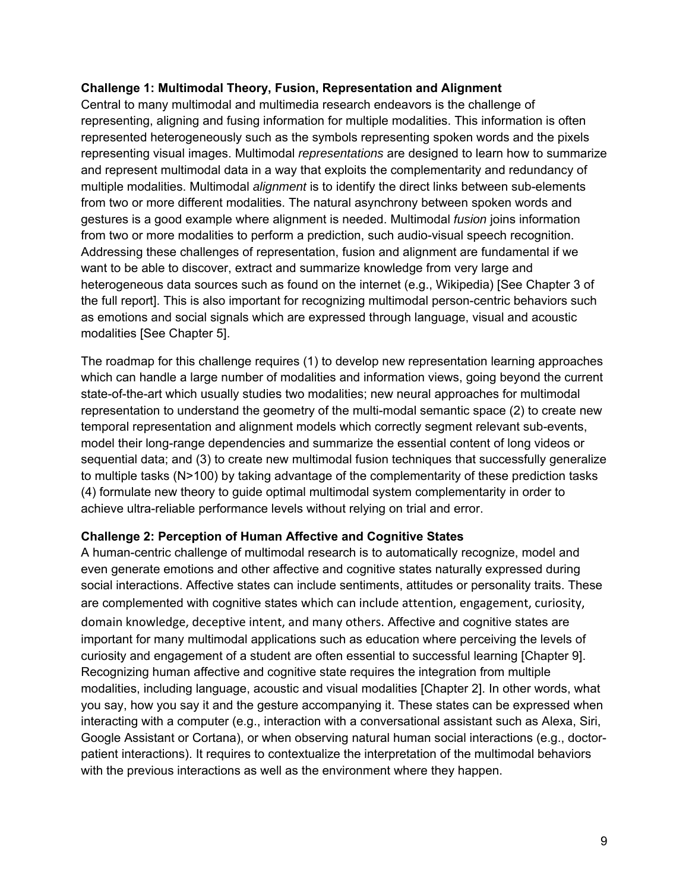#### **Challenge 1: Multimodal Theory, Fusion, Representation and Alignment**

Central to many multimodal and multimedia research endeavors is the challenge of representing, aligning and fusing information for multiple modalities. This information is often represented heterogeneously such as the symbols representing spoken words and the pixels representing visual images. Multimodal *representations* are designed to learn how to summarize and represent multimodal data in a way that exploits the complementarity and redundancy of multiple modalities. Multimodal *alignment* is to identify the direct links between sub-elements from two or more different modalities. The natural asynchrony between spoken words and gestures is a good example where alignment is needed. Multimodal *fusion* joins information from two or more modalities to perform a prediction, such audio-visual speech recognition. Addressing these challenges of representation, fusion and alignment are fundamental if we want to be able to discover, extract and summarize knowledge from very large and heterogeneous data sources such as found on the internet (e.g., Wikipedia) [See Chapter 3 of the full report]. This is also important for recognizing multimodal person-centric behaviors such as emotions and social signals which are expressed through language, visual and acoustic modalities [See Chapter 5].

The roadmap for this challenge requires (1) to develop new representation learning approaches which can handle a large number of modalities and information views, going beyond the current state-of-the-art which usually studies two modalities; new neural approaches for multimodal representation to understand the geometry of the multi-modal semantic space (2) to create new temporal representation and alignment models which correctly segment relevant sub-events, model their long-range dependencies and summarize the essential content of long videos or sequential data; and (3) to create new multimodal fusion techniques that successfully generalize to multiple tasks (N>100) by taking advantage of the complementarity of these prediction tasks (4) formulate new theory to guide optimal multimodal system complementarity in order to achieve ultra-reliable performance levels without relying on trial and error.

#### **Challenge 2: Perception of Human Affective and Cognitive States**

A human-centric challenge of multimodal research is to automatically recognize, model and even generate emotions and other affective and cognitive states naturally expressed during social interactions. Affective states can include sentiments, attitudes or personality traits. These are complemented with cognitive states which can include attention, engagement, curiosity, domain knowledge, deceptive intent, and many others. Affective and cognitive states are important for many multimodal applications such as education where perceiving the levels of curiosity and engagement of a student are often essential to successful learning [Chapter 9]. Recognizing human affective and cognitive state requires the integration from multiple modalities, including language, acoustic and visual modalities [Chapter 2]. In other words, what you say, how you say it and the gesture accompanying it. These states can be expressed when interacting with a computer (e.g., interaction with a conversational assistant such as Alexa, Siri, Google Assistant or Cortana), or when observing natural human social interactions (e.g., doctorpatient interactions). It requires to contextualize the interpretation of the multimodal behaviors with the previous interactions as well as the environment where they happen.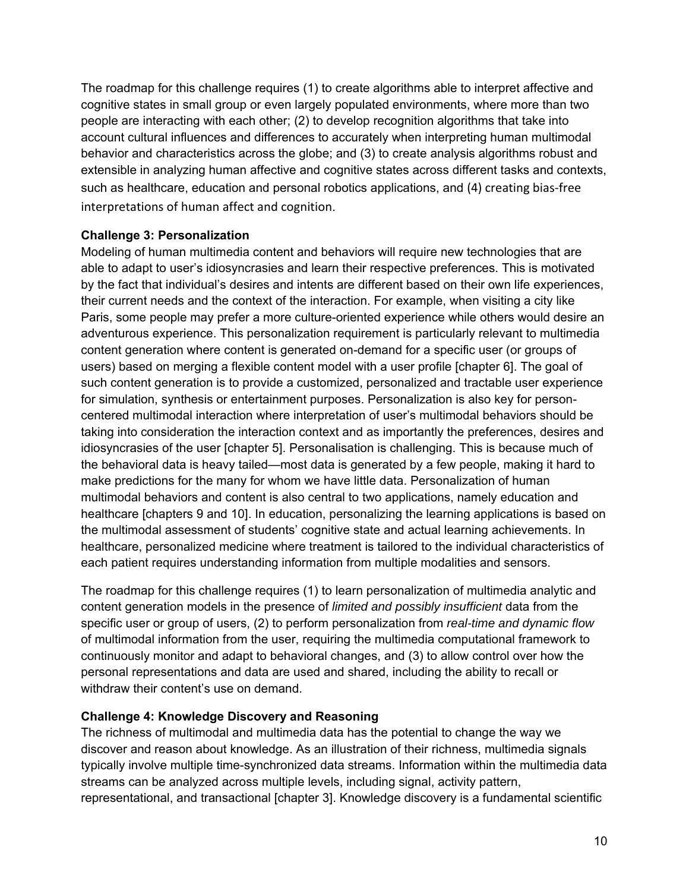The roadmap for this challenge requires (1) to create algorithms able to interpret affective and cognitive states in small group or even largely populated environments, where more than two people are interacting with each other; (2) to develop recognition algorithms that take into account cultural influences and differences to accurately when interpreting human multimodal behavior and characteristics across the globe; and (3) to create analysis algorithms robust and extensible in analyzing human affective and cognitive states across different tasks and contexts, such as healthcare, education and personal robotics applications, and (4) creating bias‐free interpretations of human affect and cognition.

#### **Challenge 3: Personalization**

Modeling of human multimedia content and behaviors will require new technologies that are able to adapt to user's idiosyncrasies and learn their respective preferences. This is motivated by the fact that individual's desires and intents are different based on their own life experiences, their current needs and the context of the interaction. For example, when visiting a city like Paris, some people may prefer a more culture-oriented experience while others would desire an adventurous experience. This personalization requirement is particularly relevant to multimedia content generation where content is generated on-demand for a specific user (or groups of users) based on merging a flexible content model with a user profile [chapter 6]. The goal of such content generation is to provide a customized, personalized and tractable user experience for simulation, synthesis or entertainment purposes. Personalization is also key for personcentered multimodal interaction where interpretation of user's multimodal behaviors should be taking into consideration the interaction context and as importantly the preferences, desires and idiosyncrasies of the user [chapter 5]. Personalisation is challenging. This is because much of the behavioral data is heavy tailed—most data is generated by a few people, making it hard to make predictions for the many for whom we have little data. Personalization of human multimodal behaviors and content is also central to two applications, namely education and healthcare [chapters 9 and 10]. In education, personalizing the learning applications is based on the multimodal assessment of students' cognitive state and actual learning achievements. In healthcare, personalized medicine where treatment is tailored to the individual characteristics of each patient requires understanding information from multiple modalities and sensors.

The roadmap for this challenge requires (1) to learn personalization of multimedia analytic and content generation models in the presence of *limited and possibly insufficient* data from the specific user or group of users, (2) to perform personalization from *real-time and dynamic flow* of multimodal information from the user, requiring the multimedia computational framework to continuously monitor and adapt to behavioral changes, and (3) to allow control over how the personal representations and data are used and shared, including the ability to recall or withdraw their content's use on demand.

#### **Challenge 4: Knowledge Discovery and Reasoning**

The richness of multimodal and multimedia data has the potential to change the way we discover and reason about knowledge. As an illustration of their richness, multimedia signals typically involve multiple time-synchronized data streams. Information within the multimedia data streams can be analyzed across multiple levels, including signal, activity pattern, representational, and transactional [chapter 3]. Knowledge discovery is a fundamental scientific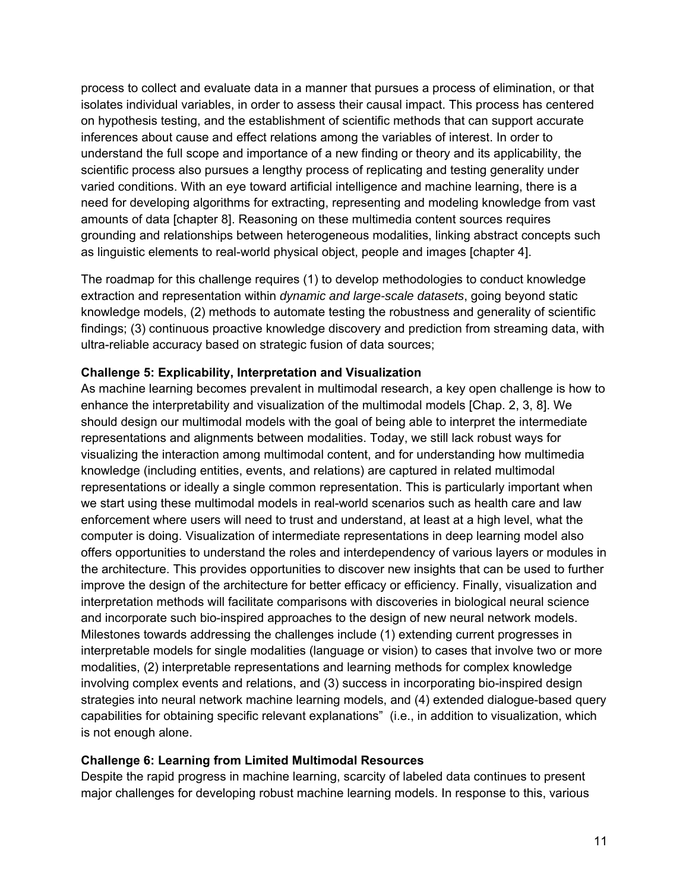process to collect and evaluate data in a manner that pursues a process of elimination, or that isolates individual variables, in order to assess their causal impact. This process has centered on hypothesis testing, and the establishment of scientific methods that can support accurate inferences about cause and effect relations among the variables of interest. In order to understand the full scope and importance of a new finding or theory and its applicability, the scientific process also pursues a lengthy process of replicating and testing generality under varied conditions. With an eye toward artificial intelligence and machine learning, there is a need for developing algorithms for extracting, representing and modeling knowledge from vast amounts of data [chapter 8]. Reasoning on these multimedia content sources requires grounding and relationships between heterogeneous modalities, linking abstract concepts such as linguistic elements to real-world physical object, people and images [chapter 4].

The roadmap for this challenge requires (1) to develop methodologies to conduct knowledge extraction and representation within *dynamic and large-scale datasets*, going beyond static knowledge models, (2) methods to automate testing the robustness and generality of scientific findings; (3) continuous proactive knowledge discovery and prediction from streaming data, with ultra-reliable accuracy based on strategic fusion of data sources;

#### **Challenge 5: Explicability, Interpretation and Visualization**

As machine learning becomes prevalent in multimodal research, a key open challenge is how to enhance the interpretability and visualization of the multimodal models [Chap. 2, 3, 8]. We should design our multimodal models with the goal of being able to interpret the intermediate representations and alignments between modalities. Today, we still lack robust ways for visualizing the interaction among multimodal content, and for understanding how multimedia knowledge (including entities, events, and relations) are captured in related multimodal representations or ideally a single common representation. This is particularly important when we start using these multimodal models in real-world scenarios such as health care and law enforcement where users will need to trust and understand, at least at a high level, what the computer is doing. Visualization of intermediate representations in deep learning model also offers opportunities to understand the roles and interdependency of various layers or modules in the architecture. This provides opportunities to discover new insights that can be used to further improve the design of the architecture for better efficacy or efficiency. Finally, visualization and interpretation methods will facilitate comparisons with discoveries in biological neural science and incorporate such bio-inspired approaches to the design of new neural network models. Milestones towards addressing the challenges include (1) extending current progresses in interpretable models for single modalities (language or vision) to cases that involve two or more modalities, (2) interpretable representations and learning methods for complex knowledge involving complex events and relations, and (3) success in incorporating bio-inspired design strategies into neural network machine learning models, and (4) extended dialogue-based query capabilities for obtaining specific relevant explanations" (i.e., in addition to visualization, which is not enough alone.

#### **Challenge 6: Learning from Limited Multimodal Resources**

Despite the rapid progress in machine learning, scarcity of labeled data continues to present major challenges for developing robust machine learning models. In response to this, various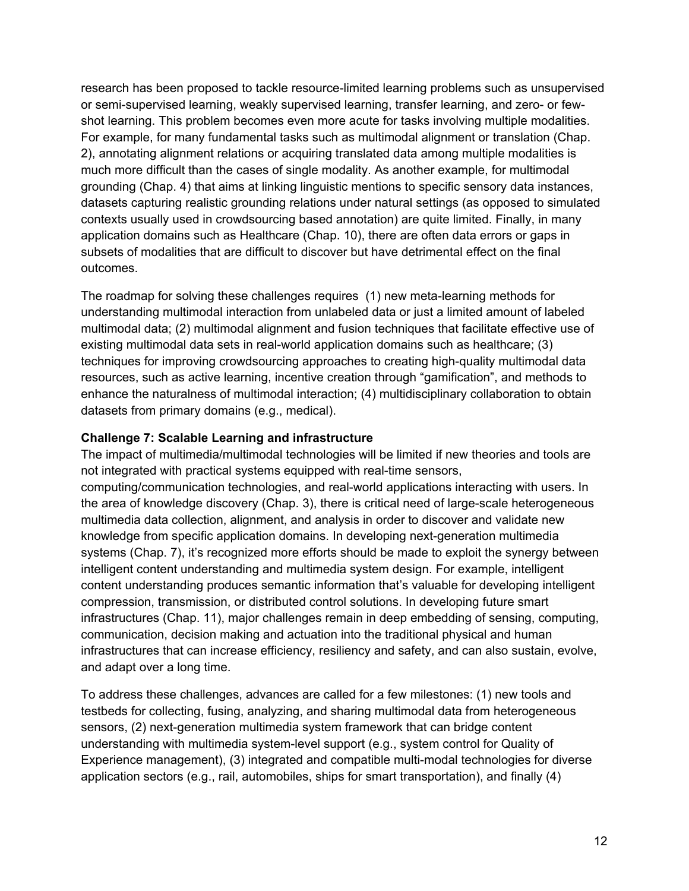research has been proposed to tackle resource-limited learning problems such as unsupervised or semi-supervised learning, weakly supervised learning, transfer learning, and zero- or fewshot learning. This problem becomes even more acute for tasks involving multiple modalities. For example, for many fundamental tasks such as multimodal alignment or translation (Chap. 2), annotating alignment relations or acquiring translated data among multiple modalities is much more difficult than the cases of single modality. As another example, for multimodal grounding (Chap. 4) that aims at linking linguistic mentions to specific sensory data instances, datasets capturing realistic grounding relations under natural settings (as opposed to simulated contexts usually used in crowdsourcing based annotation) are quite limited. Finally, in many application domains such as Healthcare (Chap. 10), there are often data errors or gaps in subsets of modalities that are difficult to discover but have detrimental effect on the final outcomes.

The roadmap for solving these challenges requires (1) new meta-learning methods for understanding multimodal interaction from unlabeled data or just a limited amount of labeled multimodal data; (2) multimodal alignment and fusion techniques that facilitate effective use of existing multimodal data sets in real-world application domains such as healthcare; (3) techniques for improving crowdsourcing approaches to creating high-quality multimodal data resources, such as active learning, incentive creation through "gamification", and methods to enhance the naturalness of multimodal interaction; (4) multidisciplinary collaboration to obtain datasets from primary domains (e.g., medical).

#### **Challenge 7: Scalable Learning and infrastructure**

The impact of multimedia/multimodal technologies will be limited if new theories and tools are not integrated with practical systems equipped with real-time sensors, computing/communication technologies, and real-world applications interacting with users. In the area of knowledge discovery (Chap. 3), there is critical need of large-scale heterogeneous multimedia data collection, alignment, and analysis in order to discover and validate new knowledge from specific application domains. In developing next-generation multimedia systems (Chap. 7), it's recognized more efforts should be made to exploit the synergy between intelligent content understanding and multimedia system design. For example, intelligent content understanding produces semantic information that's valuable for developing intelligent compression, transmission, or distributed control solutions. In developing future smart infrastructures (Chap. 11), major challenges remain in deep embedding of sensing, computing, communication, decision making and actuation into the traditional physical and human infrastructures that can increase efficiency, resiliency and safety, and can also sustain, evolve, and adapt over a long time.

To address these challenges, advances are called for a few milestones: (1) new tools and testbeds for collecting, fusing, analyzing, and sharing multimodal data from heterogeneous sensors, (2) next-generation multimedia system framework that can bridge content understanding with multimedia system-level support (e.g., system control for Quality of Experience management), (3) integrated and compatible multi-modal technologies for diverse application sectors (e.g., rail, automobiles, ships for smart transportation), and finally (4)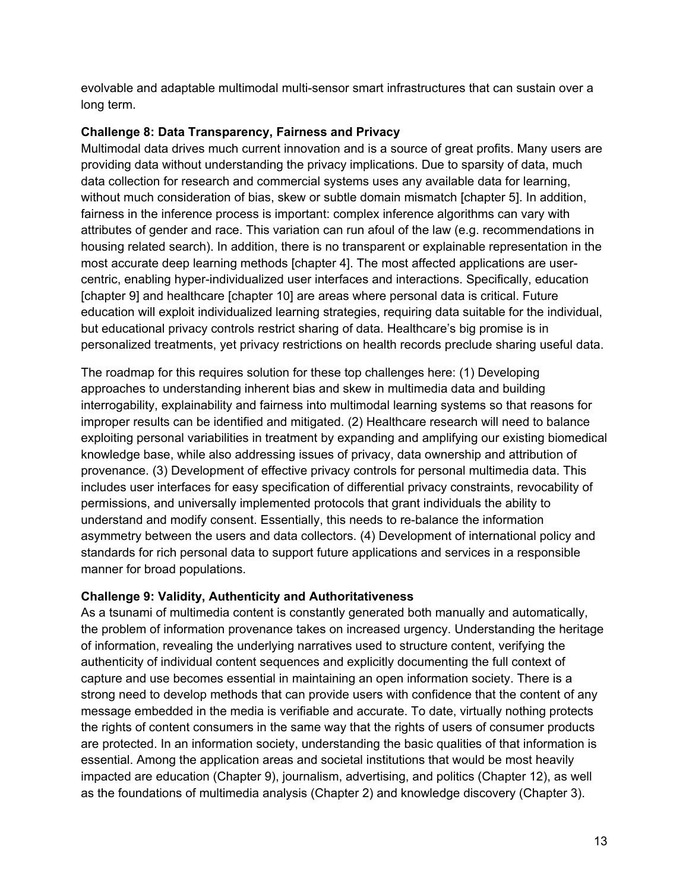evolvable and adaptable multimodal multi-sensor smart infrastructures that can sustain over a long term.

#### **Challenge 8: Data Transparency, Fairness and Privacy**

Multimodal data drives much current innovation and is a source of great profits. Many users are providing data without understanding the privacy implications. Due to sparsity of data, much data collection for research and commercial systems uses any available data for learning, without much consideration of bias, skew or subtle domain mismatch [chapter 5]. In addition, fairness in the inference process is important: complex inference algorithms can vary with attributes of gender and race. This variation can run afoul of the law (e.g. recommendations in housing related search). In addition, there is no transparent or explainable representation in the most accurate deep learning methods [chapter 4]. The most affected applications are usercentric, enabling hyper-individualized user interfaces and interactions. Specifically, education [chapter 9] and healthcare [chapter 10] are areas where personal data is critical. Future education will exploit individualized learning strategies, requiring data suitable for the individual, but educational privacy controls restrict sharing of data. Healthcare's big promise is in personalized treatments, yet privacy restrictions on health records preclude sharing useful data.

The roadmap for this requires solution for these top challenges here: (1) Developing approaches to understanding inherent bias and skew in multimedia data and building interrogability, explainability and fairness into multimodal learning systems so that reasons for improper results can be identified and mitigated. (2) Healthcare research will need to balance exploiting personal variabilities in treatment by expanding and amplifying our existing biomedical knowledge base, while also addressing issues of privacy, data ownership and attribution of provenance. (3) Development of effective privacy controls for personal multimedia data. This includes user interfaces for easy specification of differential privacy constraints, revocability of permissions, and universally implemented protocols that grant individuals the ability to understand and modify consent. Essentially, this needs to re-balance the information asymmetry between the users and data collectors. (4) Development of international policy and standards for rich personal data to support future applications and services in a responsible manner for broad populations.

#### **Challenge 9: Validity, Authenticity and Authoritativeness**

As a tsunami of multimedia content is constantly generated both manually and automatically, the problem of information provenance takes on increased urgency. Understanding the heritage of information, revealing the underlying narratives used to structure content, verifying the authenticity of individual content sequences and explicitly documenting the full context of capture and use becomes essential in maintaining an open information society. There is a strong need to develop methods that can provide users with confidence that the content of any message embedded in the media is verifiable and accurate. To date, virtually nothing protects the rights of content consumers in the same way that the rights of users of consumer products are protected. In an information society, understanding the basic qualities of that information is essential. Among the application areas and societal institutions that would be most heavily impacted are education (Chapter 9), journalism, advertising, and politics (Chapter 12), as well as the foundations of multimedia analysis (Chapter 2) and knowledge discovery (Chapter 3).